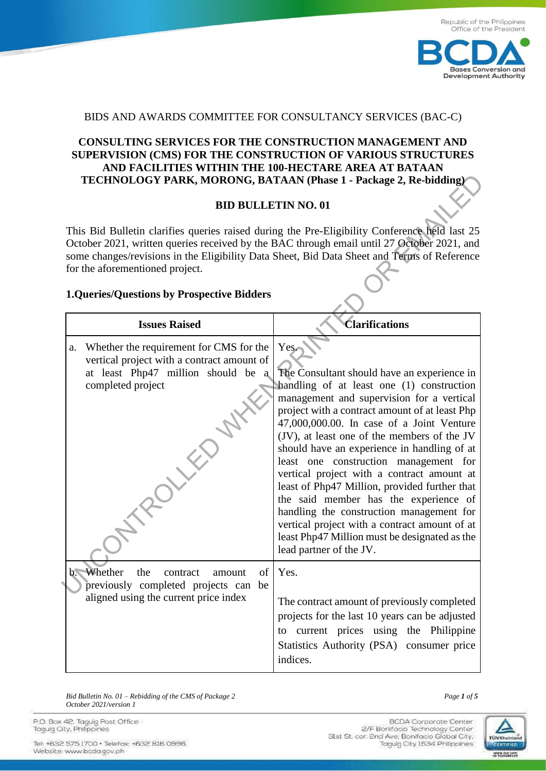

## BIDS AND AWARDS COMMITTEE FOR CONSULTANCY SERVICES (BAC-C)

## **CONSULTING SERVICES FOR THE CONSTRUCTION MANAGEMENT AND SUPERVISION (CMS) FOR THE CONSTRUCTION OF VARIOUS STRUCTURES AND FACILITIES WITHIN THE 100-HECTARE AREA AT BATAAN TECHNOLOGY PARK, MORONG, BATAAN (Phase 1 - Package 2, Re-bidding)**

## **BID BULLETIN NO. 01**

## **1.Queries/Questions by Prospective Bidders**

| TECHNOLOGY PARK, MORONG, BATAAN (Phase 1 - Package 2, Re-bidding)                                                                                                                                                                                                                                                                                                                  |                                                                                                                                                                                                                                                                                                                                                                                                                                                                                                                                                                                                                                                                                                      |  |  |  |  |  |
|------------------------------------------------------------------------------------------------------------------------------------------------------------------------------------------------------------------------------------------------------------------------------------------------------------------------------------------------------------------------------------|------------------------------------------------------------------------------------------------------------------------------------------------------------------------------------------------------------------------------------------------------------------------------------------------------------------------------------------------------------------------------------------------------------------------------------------------------------------------------------------------------------------------------------------------------------------------------------------------------------------------------------------------------------------------------------------------------|--|--|--|--|--|
| <b>BID BULLETIN NO. 01</b>                                                                                                                                                                                                                                                                                                                                                         |                                                                                                                                                                                                                                                                                                                                                                                                                                                                                                                                                                                                                                                                                                      |  |  |  |  |  |
| This Bid Bulletin clarifies queries raised during the Pre-Eligibility Conference held last 25<br>October 2021, written queries received by the BAC through email until 27 October 2021, and<br>some changes/revisions in the Eligibility Data Sheet, Bid Data Sheet and Terms of Reference<br>for the aforementioned project.<br><b>1.Queries/Questions by Prospective Bidders</b> |                                                                                                                                                                                                                                                                                                                                                                                                                                                                                                                                                                                                                                                                                                      |  |  |  |  |  |
| <b>Issues Raised</b>                                                                                                                                                                                                                                                                                                                                                               | <b><i>Clarifications</i></b>                                                                                                                                                                                                                                                                                                                                                                                                                                                                                                                                                                                                                                                                         |  |  |  |  |  |
| Whether the requirement for CMS for the<br>a.<br>vertical project with a contract amount of<br>at least Php47 million should be a<br>completed project                                                                                                                                                                                                                             | Yes.<br>The Consultant should have an experience in<br>handling of at least one (1) construction<br>management and supervision for a vertical<br>project with a contract amount of at least Php<br>47,000,000.00. In case of a Joint Venture<br>(JV), at least one of the members of the JV<br>should have an experience in handling of at<br>least one construction management for<br>vertical project with a contract amount at<br>least of Php47 Million, provided further that<br>the said member has the experience of<br>handling the construction management for<br>vertical project with a contract amount of at<br>least Php47 Million must be designated as the<br>lead partner of the JV. |  |  |  |  |  |
| Whether<br>the<br>$b -$<br>contract<br>amount<br>of<br>previously completed projects can be<br>aligned using the current price index                                                                                                                                                                                                                                               | Yes.<br>The contract amount of previously completed<br>projects for the last 10 years can be adjusted<br>current prices using the Philippine<br>to<br>Statistics Authority (PSA) consumer price<br>indices.                                                                                                                                                                                                                                                                                                                                                                                                                                                                                          |  |  |  |  |  |

*Bid Bulletin No. 01* – *Rebidding of the CMS of Package 2 Page 1 of 5 October 2021/version 1*

P.O. Box 42. Taguig Post Office Taquig City, Philippines

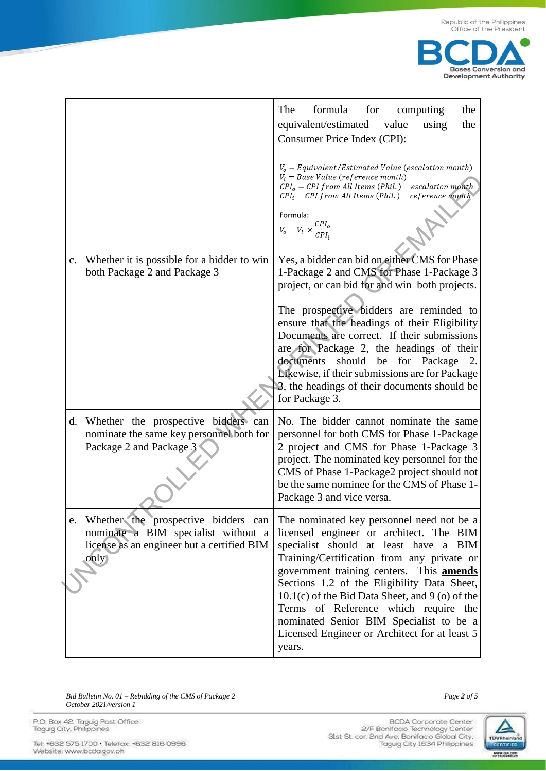

|                                                                                                                                     | The<br>formula<br>for<br>computing<br>the<br>equivalent/estimated<br>the<br>value<br>using<br>Consumer Price Index (CPI):<br>$V_o = \textit{Equivalent}/\textit{Estimated Value}$ (escalation month)<br>$V_i = Base Value (reference month)$<br>$CPIo = CPI from All Items (Phil.) - escalation month$<br>$CPI_i = CPI$ from All Items (Phil.) – reference month<br>Formula:<br>$V_o = V_i \times \frac{CPI_o}{CPI_i}$                                                                                    |
|-------------------------------------------------------------------------------------------------------------------------------------|-----------------------------------------------------------------------------------------------------------------------------------------------------------------------------------------------------------------------------------------------------------------------------------------------------------------------------------------------------------------------------------------------------------------------------------------------------------------------------------------------------------|
| Whether it is possible for a bidder to win<br>$\mathbf{c}$ .<br>both Package 2 and Package 3                                        | Yes, a bidder can bid on either CMS for Phase<br>1-Package 2 and CMS for Phase 1-Package 3<br>project, or can bid for and win both projects.<br>The prospective bidders are reminded to<br>ensure that the headings of their Eligibility<br>Documents are correct. If their submissions<br>are for Package 2, the headings of their<br>should be<br>documents<br>for<br>Package<br>2.<br>Likewise, if their submissions are for Package<br>3, the headings of their documents should be<br>for Package 3. |
| Whether the prospective bidders can<br>d.<br>nominate the same key personnel both for<br>Package 2 and Package 3                    | No. The bidder cannot nominate the same<br>personnel for both CMS for Phase 1-Package<br>2 project and CMS for Phase 1-Package 3<br>project. The nominated key personnel for the<br>CMS of Phase 1-Package2 project should not<br>be the same nominee for the CMS of Phase 1-<br>Package 3 and vice versa.                                                                                                                                                                                                |
| e. Whether the prospective bidders can<br>nominate a BIM specialist without a<br>license as an engineer but a certified BIM<br>only | The nominated key personnel need not be a<br>licensed engineer or architect. The BIM<br>specialist should at least have a BIM<br>Training/Certification from any private or<br>government training centers. This <b>amends</b><br>Sections 1.2 of the Eligibility Data Sheet,<br>$10.1(c)$ of the Bid Data Sheet, and 9 (o) of the<br>Terms of Reference which require the<br>nominated Senior BIM Specialist to be a<br>Licensed Engineer or Architect for at least 5<br>years.                          |

*Bid Bulletin No. 01* – *Rebidding of the CMS of Package 2 Page 2 of 5 October 2021/version 1*

P.O. Box 42, Taguig Post Office<br>Taguig City, Philippines

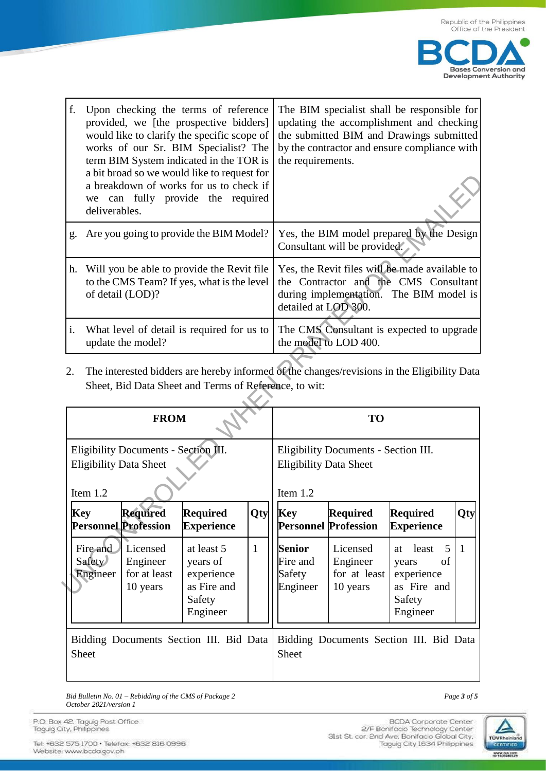

| f.             | Upon checking the terms of reference<br>provided, we [the prospective bidders]<br>would like to clarify the specific scope of<br>works of our Sr. BIM Specialist? The<br>term BIM System indicated in the TOR is<br>a bit broad so we would like to request for<br>a breakdown of works for us to check if<br>we can fully provide the required<br>deliverables. | The BIM specialist shall be responsible for<br>updating the accomplishment and checking<br>the submitted BIM and Drawings submitted<br>by the contractor and ensure compliance with<br>the requirements. |
|----------------|------------------------------------------------------------------------------------------------------------------------------------------------------------------------------------------------------------------------------------------------------------------------------------------------------------------------------------------------------------------|----------------------------------------------------------------------------------------------------------------------------------------------------------------------------------------------------------|
|                | g. Are you going to provide the BIM Model?                                                                                                                                                                                                                                                                                                                       | Yes, the BIM model prepared by the Design<br>Consultant will be provided.                                                                                                                                |
|                | h. Will you be able to provide the Revit file<br>to the CMS Team? If yes, what is the level<br>of detail (LOD)?                                                                                                                                                                                                                                                  | Yes, the Revit files will be made available to<br>the Contractor and the CMS Consultant<br>during implementation. The BIM model is<br>detailed at LOD 300.                                               |
| $\mathbf{i}$ . | What level of detail is required for us to<br>update the model?                                                                                                                                                                                                                                                                                                  | The CMS Consultant is expected to upgrade<br>the model to LOD 400.                                                                                                                                       |

|                                                  | can<br>we<br>deliverables.                                                                                   |                                                  | a bit broad so we would like to request for<br>a breakdown of works for us to check if<br>fully provide the required |                                           |                                                                           |                                                                                                                                                            |                                                                                             |   |  |
|--------------------------------------------------|--------------------------------------------------------------------------------------------------------------|--------------------------------------------------|----------------------------------------------------------------------------------------------------------------------|-------------------------------------------|---------------------------------------------------------------------------|------------------------------------------------------------------------------------------------------------------------------------------------------------|---------------------------------------------------------------------------------------------|---|--|
| g.                                               |                                                                                                              |                                                  | Are you going to provide the BIM Model?                                                                              |                                           | Yes, the BIM model prepared by the Design<br>Consultant will be provided. |                                                                                                                                                            |                                                                                             |   |  |
| h.                                               | Will you be able to provide the Revit file<br>to the CMS Team? If yes, what is the level<br>of detail (LOD)? |                                                  |                                                                                                                      |                                           |                                                                           | Yes, the Revit files will be made available to<br>the Contractor and the CMS Consultant<br>during implementation. The BIM model is<br>detailed at LOD 300. |                                                                                             |   |  |
| i.                                               |                                                                                                              | update the model?                                | What level of detail is required for us to                                                                           |                                           | The CMS Consultant is expected to upgrade<br>the model to LOD 400.        |                                                                                                                                                            |                                                                                             |   |  |
| 2.                                               |                                                                                                              |                                                  | Sheet, Bid Data Sheet and Terms of Reference, to wit:                                                                |                                           |                                                                           |                                                                                                                                                            | The interested bidders are hereby informed of the changes/revisions in the Eligibility Data |   |  |
|                                                  |                                                                                                              | <b>FROM</b>                                      |                                                                                                                      |                                           | TO                                                                        |                                                                                                                                                            |                                                                                             |   |  |
|                                                  | Eligibility Documents - Section III.<br><b>Eligibility Data Sheet</b><br>Item $1.2$                          |                                                  |                                                                                                                      |                                           |                                                                           | Eligibility Documents - Section III.<br><b>Eligibility Data Sheet</b><br>Item 1.2                                                                          |                                                                                             |   |  |
| <b>Key</b>                                       |                                                                                                              | <b>Required</b><br><b>Personnel Profession</b>   | <b>Required</b><br><b>Experience</b>                                                                                 | <b>Key</b><br><b>Personnel Profession</b> | <b>Required</b>                                                           | <b>Required</b><br><b>Experience</b>                                                                                                                       | Qty                                                                                         |   |  |
|                                                  | Fire and<br><b>Safety</b><br>Engineer                                                                        | Licensed<br>Engineer<br>for at least<br>10 years | at least 5<br>years of<br>experience<br>as Fire and<br>Safety<br>Engineer                                            | $\mathbf{1}$                              | <b>Senior</b><br>Fire and<br>Safety<br>Engineer                           | Licensed<br>Engineer<br>for at least<br>10 years                                                                                                           | 5<br>least<br>at<br>of<br>years<br>experience<br>as Fire and<br>Safety<br>Engineer          | 1 |  |
| Bidding Documents Section III. Bid Data<br>Sheet |                                                                                                              |                                                  |                                                                                                                      |                                           | Sheet                                                                     |                                                                                                                                                            | Bidding Documents Section III. Bid Data                                                     |   |  |

*Bid Bulletin No. 01* – *Rebidding of the CMS of Package 2 Page 3 of 5 October 2021/version 1*

P.O. Box 42. Taguig Post Office<br>Taguig City, Philippines

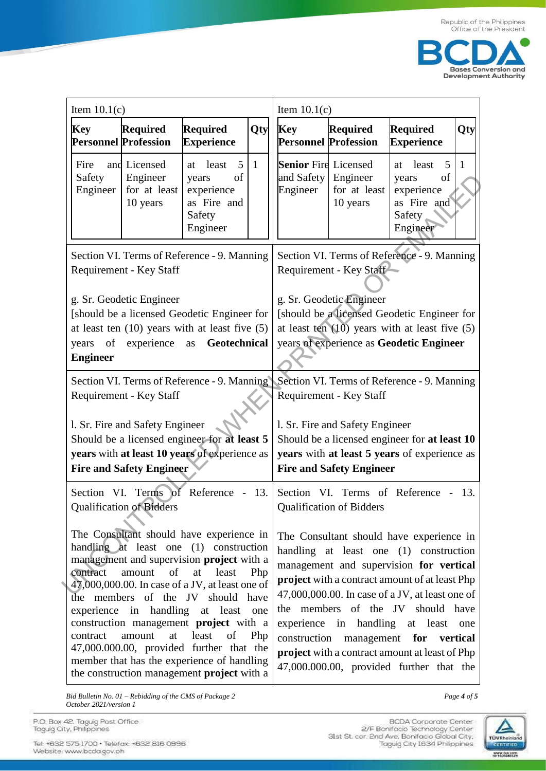

| Item $10.1(c)$             |                                                           |                                                                                                                                                                                                                                                                                                                                                                                                                                                                       | Item $10.1(c)$                                                                                                                                                                                                                                                                                                                                                                                                                                             |                                                                |                                                                                                                                               |                                                                                    |     |
|----------------------------|-----------------------------------------------------------|-----------------------------------------------------------------------------------------------------------------------------------------------------------------------------------------------------------------------------------------------------------------------------------------------------------------------------------------------------------------------------------------------------------------------------------------------------------------------|------------------------------------------------------------------------------------------------------------------------------------------------------------------------------------------------------------------------------------------------------------------------------------------------------------------------------------------------------------------------------------------------------------------------------------------------------------|----------------------------------------------------------------|-----------------------------------------------------------------------------------------------------------------------------------------------|------------------------------------------------------------------------------------|-----|
| <b>Key</b>                 | <b>Required</b><br><b>Personnel Profession</b>            | Required<br><b>Experience</b>                                                                                                                                                                                                                                                                                                                                                                                                                                         | Qty                                                                                                                                                                                                                                                                                                                                                                                                                                                        | <b>Key</b><br><b>Personnel Profession</b>                      | <b>Required</b>                                                                                                                               | <b>Required</b><br><b>Experience</b>                                               | Qty |
| Fire<br>Safety<br>Engineer | and Licensed<br>Engineer<br>for at least<br>10 years      | 5<br>least<br>at<br>of<br>years<br>experience<br>as Fire and<br>Safety<br>Engineer                                                                                                                                                                                                                                                                                                                                                                                    | $\mathbf{1}$                                                                                                                                                                                                                                                                                                                                                                                                                                               | <b>Senior</b> Fire Licensed<br>and Safety Engineer<br>Engineer | for at least<br>10 years                                                                                                                      | 5<br>least<br>at<br>of<br>years<br>experience<br>as Fire and<br>Safety<br>Engineer | 1   |
|                            | Requirement - Key Staff                                   | Section VI. Terms of Reference - 9. Manning                                                                                                                                                                                                                                                                                                                                                                                                                           | Section VI. Terms of Reference - 9. Manning<br>Requirement - Key Staff                                                                                                                                                                                                                                                                                                                                                                                     |                                                                |                                                                                                                                               |                                                                                    |     |
| <b>Engineer</b>            | g. Sr. Geodetic Engineer<br>years of experience as        | [should be a licensed Geodetic Engineer for<br>at least ten $(10)$ years with at least five $(5)$<br>Geotechnical                                                                                                                                                                                                                                                                                                                                                     |                                                                                                                                                                                                                                                                                                                                                                                                                                                            | g. Sr. Geodetic Engineer                                       | [should be a licensed Geodetic Engineer for<br>at least ten $(10)$ years with at least five $(5)$<br>years of experience as Geodetic Engineer |                                                                                    |     |
|                            | Requirement - Key Staff                                   | Section VI. Terms of Reference - 9. Manning                                                                                                                                                                                                                                                                                                                                                                                                                           | Section VI. Terms of Reference - 9. Manning<br>Requirement - Key Staff                                                                                                                                                                                                                                                                                                                                                                                     |                                                                |                                                                                                                                               |                                                                                    |     |
|                            | l. Sr. Fire and Safety Engineer                           | Should be a licensed engineer for at least 5                                                                                                                                                                                                                                                                                                                                                                                                                          | l. Sr. Fire and Safety Engineer<br>Should be a licensed engineer for at least 10                                                                                                                                                                                                                                                                                                                                                                           |                                                                |                                                                                                                                               |                                                                                    |     |
|                            | <b>Fire and Safety Engineer</b>                           | years with at least 10 years of experience as                                                                                                                                                                                                                                                                                                                                                                                                                         | years with at least 5 years of experience as<br><b>Fire and Safety Engineer</b>                                                                                                                                                                                                                                                                                                                                                                            |                                                                |                                                                                                                                               |                                                                                    |     |
| Section                    | VI. Terms of Reference<br><b>Qualification of Bidders</b> |                                                                                                                                                                                                                                                                                                                                                                                                                                                                       |                                                                                                                                                                                                                                                                                                                                                                                                                                                            | <b>Qualification of Bidders</b>                                | Section VI. Terms of Reference -                                                                                                              | -13.                                                                               |     |
| contract<br>contract       | amount<br>of<br>experience in handling<br>amount<br>at    | The Consultant should have experience in<br>handling at least one (1) construction<br>management and supervision project with a<br>at<br>least<br>47,000,000.00. In case of a JV, at least one of<br>the members of the JV should have<br>at least one<br>construction management project with a<br>least<br>of<br>Php<br>47,000.000.00, provided further that the<br>member that has the experience of handling<br>the construction management <b>project</b> with a | The Consultant should have experience in<br>handling at least one (1) construction<br>management and supervision for vertical<br>project with a contract amount of at least Php<br>47,000,000.00. In case of a JV, at least one of<br>the members of the JV should have<br>experience in handling<br>at least<br>one<br>construction management for vertical<br>project with a contract amount at least of Php<br>47,000.000.00, provided further that the |                                                                |                                                                                                                                               |                                                                                    |     |

Bid Bulletin No.  $01$  – Rebidding of the CMS of Package 2 October 2021/version 1

P.O. Box 42, Taguig Post Office<br>Taguig City, Philippines

Tel: +632 575 1700 · Telefax: +632 816 0996<br>Website: www.bcda.gov.ph



Page 4 of 5